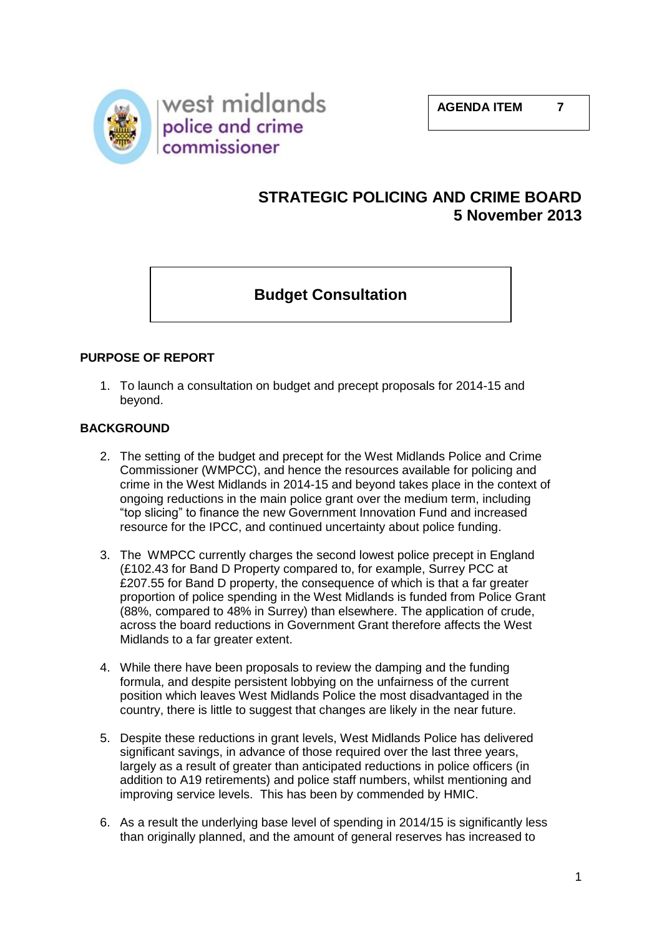

## **STRATEGIC POLICING AND CRIME BOARD 5 November 2013**

# **Budget Consultation**

## **PURPOSE OF REPORT**

1. To launch a consultation on budget and precept proposals for 2014-15 and beyond.

## **BACKGROUND**

- 2. The setting of the budget and precept for the West Midlands Police and Crime Commissioner (WMPCC), and hence the resources available for policing and crime in the West Midlands in 2014-15 and beyond takes place in the context of ongoing reductions in the main police grant over the medium term, including "top slicing" to finance the new Government Innovation Fund and increased resource for the IPCC, and continued uncertainty about police funding.
- 3. The WMPCC currently charges the second lowest police precept in England (£102.43 for Band D Property compared to, for example, Surrey PCC at £207.55 for Band D property, the consequence of which is that a far greater proportion of police spending in the West Midlands is funded from Police Grant (88%, compared to 48% in Surrey) than elsewhere. The application of crude, across the board reductions in Government Grant therefore affects the West Midlands to a far greater extent.
- 4. While there have been proposals to review the damping and the funding formula, and despite persistent lobbying on the unfairness of the current position which leaves West Midlands Police the most disadvantaged in the country, there is little to suggest that changes are likely in the near future.
- 5. Despite these reductions in grant levels, West Midlands Police has delivered significant savings, in advance of those required over the last three years, largely as a result of greater than anticipated reductions in police officers (in addition to A19 retirements) and police staff numbers, whilst mentioning and improving service levels. This has been by commended by HMIC.
- 6. As a result the underlying base level of spending in 2014/15 is significantly less than originally planned, and the amount of general reserves has increased to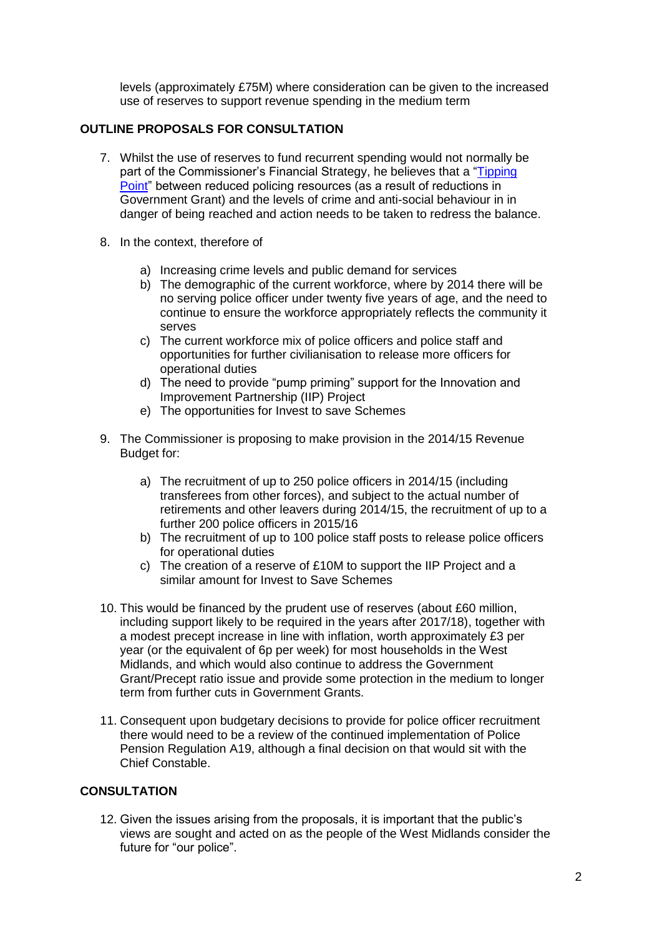levels (approximately £75M) where consideration can be given to the increased use of reserves to support revenue spending in the medium term

## **OUTLINE PROPOSALS FOR CONSULTATION**

- 7. Whilst the use of reserves to fund recurrent spending would not normally be part of the Commissioner's Financial Strategy, he believes that a ["Tipping](http://westmidlands-pcc.gov.uk/your-commissioner/blogs/posts/2013/april-2013/tipping-points/)  [Point"](http://westmidlands-pcc.gov.uk/your-commissioner/blogs/posts/2013/april-2013/tipping-points/) between reduced policing resources (as a result of reductions in Government Grant) and the levels of crime and anti-social behaviour in in danger of being reached and action needs to be taken to redress the balance.
- 8. In the context, therefore of
	- a) Increasing crime levels and public demand for services
	- b) The demographic of the current workforce, where by 2014 there will be no serving police officer under twenty five years of age, and the need to continue to ensure the workforce appropriately reflects the community it serves
	- c) The current workforce mix of police officers and police staff and opportunities for further civilianisation to release more officers for operational duties
	- d) The need to provide "pump priming" support for the Innovation and Improvement Partnership (IIP) Project
	- e) The opportunities for Invest to save Schemes
- 9. The Commissioner is proposing to make provision in the 2014/15 Revenue Budget for:
	- a) The recruitment of up to 250 police officers in 2014/15 (including transferees from other forces), and subject to the actual number of retirements and other leavers during 2014/15, the recruitment of up to a further 200 police officers in 2015/16
	- b) The recruitment of up to 100 police staff posts to release police officers for operational duties
	- c) The creation of a reserve of £10M to support the IIP Project and a similar amount for Invest to Save Schemes
- 10. This would be financed by the prudent use of reserves (about £60 million, including support likely to be required in the years after 2017/18), together with a modest precept increase in line with inflation, worth approximately £3 per year (or the equivalent of 6p per week) for most households in the West Midlands, and which would also continue to address the Government Grant/Precept ratio issue and provide some protection in the medium to longer term from further cuts in Government Grants.
- 11. Consequent upon budgetary decisions to provide for police officer recruitment there would need to be a review of the continued implementation of Police Pension Regulation A19, although a final decision on that would sit with the Chief Constable.

### **CONSULTATION**

12. Given the issues arising from the proposals, it is important that the public's views are sought and acted on as the people of the West Midlands consider the future for "our police".